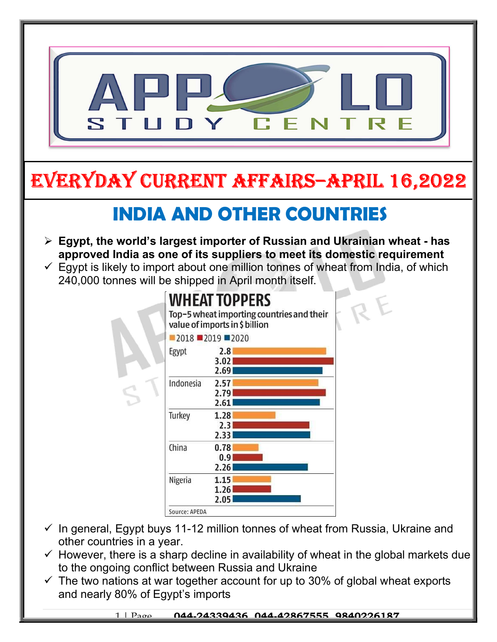

- to the ongoing conflict between Russia and Ukraine
- $\checkmark$  The two nations at war together account for up to 30% of global wheat exports and nearly 80% of Egypt's imports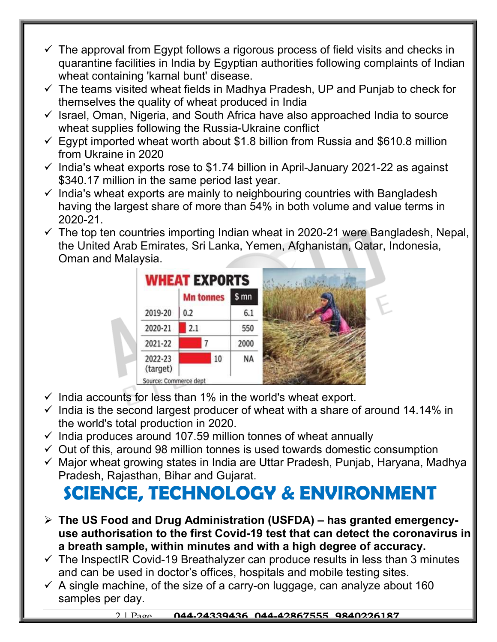- $\checkmark$  The approval from Egypt follows a rigorous process of field visits and checks in quarantine facilities in India by Egyptian authorities following complaints of Indian wheat containing 'karnal bunt' disease.
- $\checkmark$  The teams visited wheat fields in Madhya Pradesh, UP and Punjab to check for themselves the quality of wheat produced in India
- $\checkmark$  Israel, Oman, Nigeria, and South Africa have also approached India to source wheat supplies following the Russia-Ukraine conflict
- $\checkmark$  Egypt imported wheat worth about \$1.8 billion from Russia and \$610.8 million from Ukraine in 2020
- $\checkmark$  India's wheat exports rose to \$1.74 billion in April-January 2021-22 as against \$340.17 million in the same period last year.
- $\checkmark$  India's wheat exports are mainly to neighbouring countries with Bangladesh having the largest share of more than 54% in both volume and value terms in 2020-21.
- $\checkmark$  The top ten countries importing Indian wheat in 2020-21 were Bangladesh, Nepal, the United Arab Emirates, Sri Lanka, Yemen, Afghanistan, Qatar, Indonesia, Oman and Malaysia.



- $\checkmark$  India accounts for less than 1% in the world's wheat export.
- $\checkmark$  India is the second largest producer of wheat with a share of around 14.14% in the world's total production in 2020.
- $\checkmark$  India produces around 107.59 million tonnes of wheat annually
- $\checkmark$  Out of this, around 98 million tonnes is used towards domestic consumption
- $\checkmark$  Major wheat growing states in India are Uttar Pradesh, Punjab, Haryana, Madhya Pradesh, Rajasthan, Bihar and Gujarat.

## SCIENCE, TECHNOLOGY & ENVIRONMENT

- $\triangleright$  The US Food and Drug Administration (USFDA) has granted emergencyuse authorisation to the first Covid-19 test that can detect the coronavirus in a breath sample, within minutes and with a high degree of accuracy.
- $\checkmark$  The InspectIR Covid-19 Breathalyzer can produce results in less than 3 minutes and can be used in doctor's offices, hospitals and mobile testing sites.
- $\checkmark$  A single machine, of the size of a carry-on luggage, can analyze about 160 samples per day.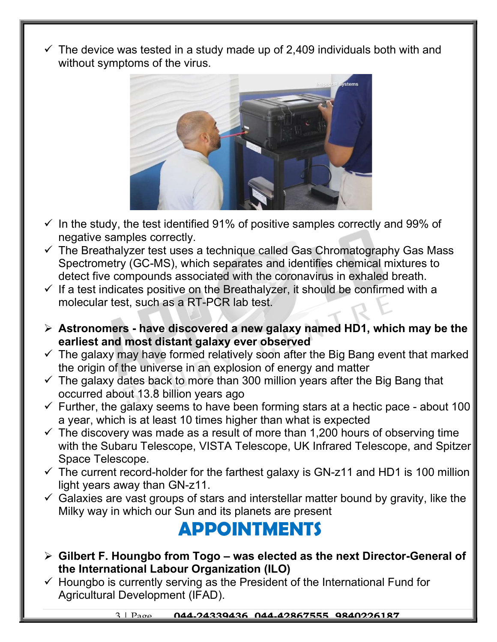$\checkmark$  The device was tested in a study made up of 2,409 individuals both with and without symptoms of the virus.



- $\checkmark$  In the study, the test identified 91% of positive samples correctly and 99% of negative samples correctly.
- $\checkmark$  The Breathalyzer test uses a technique called Gas Chromatography Gas Mass Spectrometry (GC-MS), which separates and identifies chemical mixtures to detect five compounds associated with the coronavirus in exhaled breath.
- $\checkmark$  If a test indicates positive on the Breathalyzer, it should be confirmed with a molecular test, such as a RT-PCR lab test.
- $\triangleright$  Astronomers have discovered a new galaxy named HD1, which may be the earliest and most distant galaxy ever observed
- $\checkmark$  The galaxy may have formed relatively soon after the Big Bang event that marked the origin of the universe in an explosion of energy and matter
- $\checkmark$  The galaxy dates back to more than 300 million years after the Big Bang that occurred about 13.8 billion years ago
- $\checkmark$  Further, the galaxy seems to have been forming stars at a hectic pace about 100 a year, which is at least 10 times higher than what is expected
- $\checkmark$  The discovery was made as a result of more than 1,200 hours of observing time with the Subaru Telescope, VISTA Telescope, UK Infrared Telescope, and Spitzer Space Telescope.
- $\checkmark$  The current record-holder for the farthest galaxy is GN-z11 and HD1 is 100 million light years away than GN-z11.
- $\checkmark$  Galaxies are vast groups of stars and interstellar matter bound by gravity, like the Milky way in which our Sun and its planets are present

## APPOINTMENTS

- $\triangleright$  Gilbert F. Houngbo from Togo was elected as the next Director-General of the International Labour Organization (ILO)
- $\checkmark$  Houngbo is currently serving as the President of the International Fund for Agricultural Development (IFAD).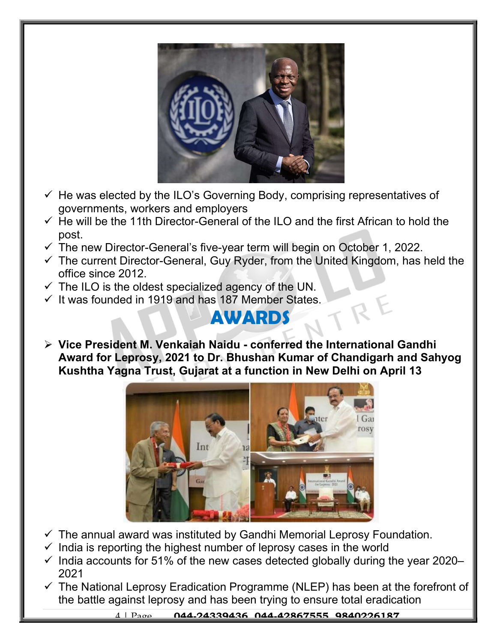

- $\checkmark$  He was elected by the ILO's Governing Body, comprising representatives of governments, workers and employers
- $\checkmark$  He will be the 11th Director-General of the ILO and the first African to hold the post.
- $\checkmark$  The new Director-General's five-year term will begin on October 1, 2022.
- $\checkmark$  The current Director-General, Guy Ryder, from the United Kingdom, has held the office since 2012.
- $\checkmark$  The ILO is the oldest specialized agency of the UN.
- $\checkmark$  It was founded in 1919 and has 187 Member States.

## AWARDS

 Vice President M. Venkaiah Naidu - conferred the International Gandhi Award for Leprosy, 2021 to Dr. Bhushan Kumar of Chandigarh and Sahyog Kushtha Yagna Trust, Gujarat at a function in New Delhi on April 13



- $\checkmark$  The annual award was instituted by Gandhi Memorial Leprosy Foundation.
- $\checkmark$  India is reporting the highest number of leprosy cases in the world
- $\checkmark$  India accounts for 51% of the new cases detected globally during the year 2020– 2021
- $\checkmark$  The National Leprosy Eradication Programme (NLEP) has been at the forefront of the battle against leprosy and has been trying to ensure total eradication